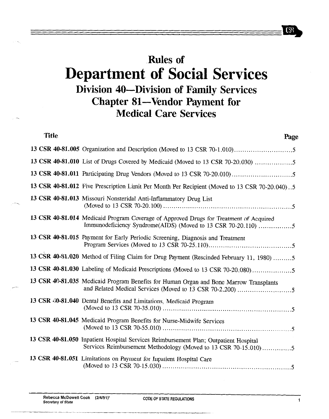## .Rules of Department of Social Services Division 40-Division of Family Services Chapter 81-Vendor Payment for Medical Care Services

| Title | Page                                                                                                                                                    |
|-------|---------------------------------------------------------------------------------------------------------------------------------------------------------|
|       |                                                                                                                                                         |
|       | 13 CSR 40-81.010 List of Drugs Covered by Medicaid (Moved to 13 CSR 70-20.030)                                                                          |
|       |                                                                                                                                                         |
|       | 13 CSR 40-81.012 Five Prescription Limit Per Month Per Recipient (Moved to 13 CSR 70-20.040)5                                                           |
|       | 13 CSR 40-81.013 Missouri Nonsteridal Anti-Inflammatory Drug List                                                                                       |
|       | 13 CSR 40-81.014 Medicaid Program Coverage of Approved Drugs for Treatment of Acquired<br>Immunodeficiency Syndrome(AIDS) (Moved to 13 CSR 70-20.110) 5 |
|       | 13 CSR 40-81.015 Payment for Early Periodic Screening, Diagnosis and Treatment                                                                          |
|       | 13 CSR 40-81.020 Method of Filing Claim for Drug Payment (Rescinded February 11, 1980) 5                                                                |
|       | 13 CSR 40-81.030 Labeling of Medicaid Prescriptions (Moved to 13 CSR 70-20.080)                                                                         |
|       | 13 CSR 40-81.035 Medicaid Program Benefits for Human Organ and Bone Marrow Transplants                                                                  |
|       | 13 CSR 40-81.040 Dental Benefits and Limitations, Medicaid Program                                                                                      |
|       | 13 CSR 40-81.045 Medicaid Program Benefits for Nurse-Midwife Services                                                                                   |
|       | 13 CSR 40-81.050 Inpatient Hospital Services Reimbursement Plan; Outpatient Hospital<br>Services Reimbursement Methodology (Moved to 13 CSR 70-15.010)5 |
|       | 13 CSR 40-81.051 Limitations on Payment for Inpatient Hospital Care                                                                                     |

..

 $C38$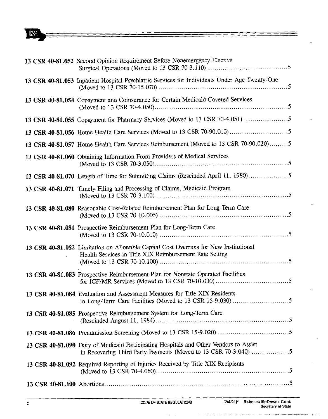## $C38$

| 13 CSR 40-81.052 Second Opinion Requirement Before Nonemergency Elective                                                                                 |
|----------------------------------------------------------------------------------------------------------------------------------------------------------|
| 13 CSR 40-81.053 Inpatient Hospital Psychiatric Services for Individuals Under Age Twenty-One                                                            |
| 13 CSR 40-81.054 Copayment and Coinsurance for Certain Medicaid-Covered Services                                                                         |
| 13 CSR 40-81.055 Copayment for Pharmacy Services (Moved to 13 CSR 70-4.051)                                                                              |
|                                                                                                                                                          |
| 13 CSR 40-81.057 Home Health Care Services Reinbursement (Moved to 13 CSR 70-90.020)5                                                                    |
| 13 CSR 40-81.060 Obtaining Information From Providers of Medical Services                                                                                |
| 13 CSR 40-81.070 Length of Time for Submitting Claims (Rescinded April 11, 1980)5                                                                        |
| 13 CSR 40-81.071 Timely Filing and Processing of Claims, Medicaid Program                                                                                |
| 13 CSR 40-81.080 Reasonable Cost-Related Reimbursement Plan for Long-Term Care                                                                           |
| 13 CSR 40-81.081 Prospective Reimbursement Plan for Long-Term Care                                                                                       |
| 13 CSR 40-81.082 Limitation on Allowable Capital Cost Overruns for New Institutional<br>Health Services in Title XIX Reimbursement Rate Setting          |
| 13 CSR 40-81.083 Prospective Reimbursement Plan for Nonstate Operated Facilities                                                                         |
| 13 CSR 40-81.084 Evaluation and Assessment Measures for Title XIX Residents                                                                              |
| 13 CSR 40-81.085 Prospective Reimbursement System for Long-Term Care                                                                                     |
|                                                                                                                                                          |
| 13 CSR 40-81.090 Duty of Medicaid Participating Hospitals and Other Vendors to Assist<br>in Recovering Third Party Payments (Moved to 13 CSR 70-3.040) 5 |
| 13 CSR 40-81.092 Required Reporting of Injuries Received by Title XIX Recipients                                                                         |
|                                                                                                                                                          |

--

 $\mathcal{L}_{\text{max}}$ 

 $\sim 10^{-1}$ 

 $\label{eq:1} \begin{split} \mathcal{L}_{\text{max}}(\mathcal{L}_{\text{max}},\mathcal{L}_{\text{max}},\mathcal{L}_{\text{max}},\mathcal{L}_{\text{max}},\mathcal{L}_{\text{max}}), \end{split}$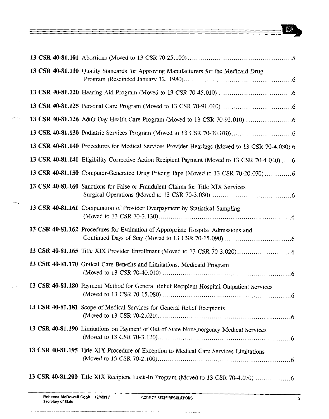## $C58$

|  | 13 CSR 40-81.110 Quality Standards for Approving Manufacturers for the Medicaid Drug            |
|--|-------------------------------------------------------------------------------------------------|
|  |                                                                                                 |
|  |                                                                                                 |
|  |                                                                                                 |
|  |                                                                                                 |
|  | 13 CSR 40-81.140 Procedures for Medical Services Provider Hearings (Moved to 13 CSR 70-4.030) 6 |
|  | 13 CSR 40-81.141 Eligibility Corrective Action Recipient Payment (Moved to 13 CSR 70-4.040) 6   |
|  | 13 CSR 40-81.150 Computer-Generated Drug Pricing Tape (Moved to 13 CSR 70-20.070)               |
|  | 13 CSR 40-81.160 Sanctions for False or Fraudulent Claims for Title XIX Services                |
|  | 13 CSR 40-81.161 Computation of Provider Overpayment by Statistical Sampling                    |
|  | 13 CSR 40-81.162 Procedures for Evaluation of Appropriate Hospital Admissions and               |
|  |                                                                                                 |
|  | 13 CSR 40-81.170 Optical Care Benefits and Limitations, Medicaid Program                        |
|  | 13 CSR 40-81.180 Payment Method for General Relief Recipient Hospital Outpatient Services       |
|  | 13 CSR 40-81.181 Scope of Medical Services for General Relief Recipients                        |
|  | 13 CSR 40-81.190 Limitations on Payment of Out-of-State Nonemergency Medical Services           |
|  | 13 CSR 40-81.195 Title XIX Procedure of Exception to Medical Care Services Limitations          |
|  | 13 CSR 40-81.200 Title XIX Recipient Lock-In Program (Moved to 13 CSR 70-4.070)                 |

 $=$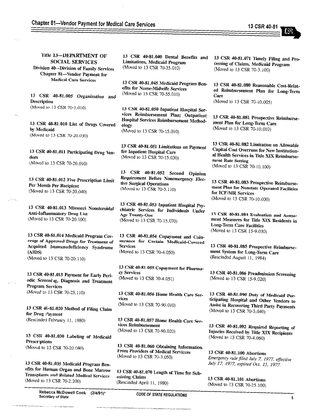. .

Title 13-DEPARTMENT OF<br>SOCIAL SERVICES Division 40-Division of Family Services Chapter 81-Vendor Payment for  $\mathbf{M}$  Chapter Sl-Vendok Payment for Medical Care Services 13 CSR 40-81.005 Organization and Description  $\sqrt{9}$ 13 CSR 40-81.010 List of Drugs Covered by Medicando  $(0, 0, 0, 0, 0)$ 13 CSR 40-81.011 Participating Drug Ven- $\overline{\mathbf{a}}$  $\sqrt{M}$ 13 CSR 40-81.012 Five Prescription Limit  $A$ <sub>per a</sub>  $A$ <sub>p</sub>  $A$ <sub>p</sub>  $A$ <sub>p</sub>  $A$ <sub>p</sub>  $A$ <sub>p</sub>  $A$ <sub>p</sub>  $A$ <sub>p</sub>  $A$ <sub>p</sub>  $A$ <sub>p</sub>  $A$ <sub>p</sub>  $A$ <sub>p</sub>  $A$ <sub>p</sub>  $A$ <sub>p</sub>  $A$ <sub>p</sub>  $A$ <sub>p</sub>  $A$ <sub>p</sub>  $A$ <sub>p</sub>  $A$ <sub>p</sub>  $A$ <sub>p</sub>  $A$ <sub>p</sub>  $A$ <sub>p</sub>  $A$ <sub>p</sub>  $A$ <sub>p</sub>  $A$ <sub>p</sub>  $A$ <sub>p</sub>  $A$ <sub>p</sub>  $A$ <sub>p</sub>  $A$ <sub>p</sub>  $A$ <sub>p</sub>  $A$ <sub>p</sub>  $($   $\cdots$   $\cdots$   $\cdots$   $\cdots$   $\cdots$   $\cdots$   $\cdots$   $\cdots$ 13 CSR 40-81.013 Missouri Nonsteroidal<br>Anti-Inflammatory Drug List  $\Delta t$  and to 12 CFB 70.30 100.  $(1 - 1)$  -  $(1 - 1)$  is  $(100)$ 13 CSR 40-81.014 Medicaid Program Cov- $\alpha$  $\overline{\text{Area}}$  $\alpha$ (Moved to 13 CSR 70-20.110)  $\alpha$ <sup>3</sup> Correction  $\mathbf{D}^*$ .  $\alpha$   $\mathbf{D}^*$ odic Screenixg, Diagnosis and Treatment Program Services  $($   $($   $($   $)$   $($   $)$   $($   $)$   $($   $)$   $($   $)$   $($   $)$   $($   $)$   $($   $)$   $($   $)$   $($   $)$   $($   $)$   $($   $)$   $($   $)$   $($   $)$   $($   $)$   $($   $)$   $($   $)$   $($   $)$   $($   $)$   $($   $)$   $($   $)$   $($   $)$   $($   $)$   $($   $)$   $($   $)$   $($   $)$   $($  13 CSR 46-81.020 Method of Filing Claim<br>for Drug Payment  $f_{\text{R}}$  and  $f_{\text{R}}$  is a set of  $\mathbb{R}$  .  $(8.41111124 \times 10^{21} \text{cm}^2)$  T<sub>1</sub>, 1980) 13 CSR 40-81.030 Labeling of Medicaid Prescriptions (Moved to 13 CSR 70-20.080) 13 CSR 40-81.035 Medicaid Program Ben-Transplants and Related Medical Services 13 CSR 40-81.040 Dental Benefits and Limitations, Medicaid Program (Moved to 13 CSR 70-35.010) 13 CSR 40-81.045 Medicaid Program Benefits for Nurse-Midwife Services (Moved to 13 CSR 70-55.010) 13 CSR 40-81.050 Inpatient Hospital Services Reimbursement Plan; Outpatient Hospital Services Reimbursement Methodology (Moved to 13 CSR 70-15.010) 13 CSR 40-81.051 Limitations on Payment for Inpatient Hospital Care (Moved to 13 CSR 70-15.030) 13 CSR 40-81.052 Second Opinion Requirement Before Nonemergency Elec-<br>tive Surgical Operations tive ouigical Operation (Moved to 13 CSR 70-3.110) 13 CSR 40-81.053 Inpatient Hospital Psychiatric Services for Individuals Under Age Twenty-One (Moved to 13 CSR 70-15.070) 13 CSR 40-81.054. Copayment and Coinsurance for Certain Medicaid-Covered<br>Services Services  $(4.0,0.00)$  to 13 CSR  $(0.4,0.00)$ 13 CSR 40-81.055 Copayment for Pharma-cy Services cy Services  $(4.010 \text{ m}) \cdot 13 \cdot \text{C} \cdot \text{C} \cdot \text{C} \cdot \text{C} \cdot \text{C} \cdot \text{C} \cdot \text{C} \cdot \text{C} \cdot \text{C} \cdot \text{C} \cdot \text{C} \cdot \text{C} \cdot \text{C} \cdot \text{C} \cdot \text{C} \cdot \text{C} \cdot \text{C} \cdot \text{C} \cdot \text{C} \cdot \text{C} \cdot \text{C} \cdot \text{C} \cdot \text{C} \cdot \text{C} \cdot \text{C} \cdot \text{C} \cdot \text{C} \cdot \text{C} \cdot \text{C} \$ 13 CSR 40-81.056 Home Health Care Services vices  $(10,0000,001)$  CSR  $(0,90,010)$ 13 CSR 40-81.057 Home Health Care Services Reimbursement (Moved to 13 CSR 70-90.020) 13 CSR 40-81.060 Obtaining Information From Providers of Medical Servicces (Moved to 13 CSR 70-3.050) 13 CSR 40-81.070 Length of Time for Sub-13 CSR 40-81.071 Timely Filing and Processing of Claims, Medicaid Program (Moved to 13 CSR 70-3.100) 13 CSR 40-81.080 Reasonable Cost-Related Reimbursement Plan for Long-Term Care (Moved to 13 CSR 70-10.005) 13 CSR 40-81.081 Prospective Reimbursement Plan for Long-Term Care (Moved to 13 CSR 70-10.010) 13 CSR 40-81.082 Limitation on Allowable Capital Cost Overruns for New Institutional Health Services in Title XIX Reimbursement Rate Setting (Moved to 13 CSR 70-10.100) 13 CSR 40-81.083 Prospective Reimbursement PIan for Nonstate Operated Facilities for ICF/MR Services (Moved to 13 CSR 70-10.030) 13 CSR 40-81.084 Evaluation and Assessment Measures for Title XIX Residents in Long-Term Care Facilities (Moved to 13 CSR 15-9.030) 13 CSR 40-81.085 Prospective Reimbursement System for Long-Term Care (Rescinded August 11, 1984) 13 CSR 40-81.086 Preadmission Screening (Moved to 13 CSR 15-9.020) 13 CSR 40-81.090 Duty of Medicaid Participating Hospital and Other Vendors to Assist in Recovering Third party Payments (Moved to 13 CSR 70-3.040) 13 CSR 40-81.092 Required Reporting of Injuries Received by Title XIX Recipients (Moved to 13 CSR 70-4.060) 13 CSR 40-81.100 Abortions Emergency rule filed July 7, 1977, effective July 17, 1977, expired Ocr. 15, I977

13 CSR 40-81.101 Abortions (Moved to 13 CSR 70-25.100)

 $S$ ecretary of State CODE OF STATE REGULATIONS and  $S$ 

mitting Claims

 $(4.666 \text{ mJg} \cdot \text{Fp} \cdot \text{F1}, 1980)$ 

 $T_{\text{Coul}}$  to  $12.70\text{m}$   $70.00\text{m}$ .

Rebecca McDowell Cook (2/4/91)\*<br>Secretary of State

 $\frac{1}{2}$  . The 13 CSR 70-2.200)